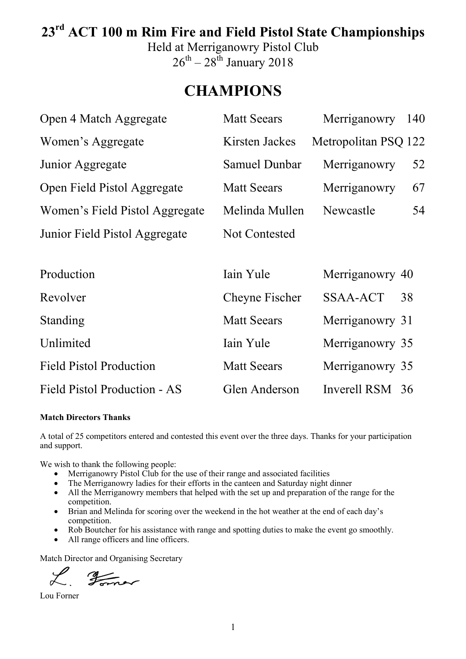# **23rd ACT 100 m Rim Fire and Field Pistol State Championships**

Held at Merriganowry Pistol Club  $26^{th} - 28^{th}$  January 2018

# **CHAMPIONS**

| Open 4 Match Aggregate         | <b>Matt Seears</b>   | Merriganowry         | 140 |
|--------------------------------|----------------------|----------------------|-----|
| Women's Aggregate              | Kirsten Jackes       | Metropolitan PSQ 122 |     |
| Junior Aggregate               | Samuel Dunbar        | Merriganowry         | 52  |
| Open Field Pistol Aggregate    | <b>Matt Seears</b>   | Merriganowry         | 67  |
| Women's Field Pistol Aggregate | Melinda Mullen       | Newcastle            | 54  |
| Junior Field Pistol Aggregate  | <b>Not Contested</b> |                      |     |
|                                |                      |                      |     |
| Production                     | Iain Yule            | Merriganowry 40      |     |
| Revolver                       | Cheyne Fischer       | <b>SSAA-ACT</b>      | 38  |
| Standing                       | <b>Matt Seears</b>   | Merriganowry 31      |     |
| Unlimited                      | Iain Yule            | Merriganowry 35      |     |
| <b>Field Pistol Production</b> | <b>Matt Seears</b>   | Merriganowry 35      |     |
| Field Pistol Production - AS   | Glen Anderson        | Inverell RSM 36      |     |

#### **Match Directors Thanks**

A total of 25 competitors entered and contested this event over the three days. Thanks for your participation and support.

We wish to thank the following people:

- Merriganowry Pistol Club for the use of their range and associated facilities
- The Merriganowry ladies for their efforts in the canteen and Saturday night dinner
- All the Merriganowry members that helped with the set up and preparation of the range for the competition.
- Brian and Melinda for scoring over the weekend in the hot weather at the end of each day's competition.
- Rob Boutcher for his assistance with range and spotting duties to make the event go smoothly.
- All range officers and line officers.

Match Director and Organising Secretary

L. Former

Lou Forner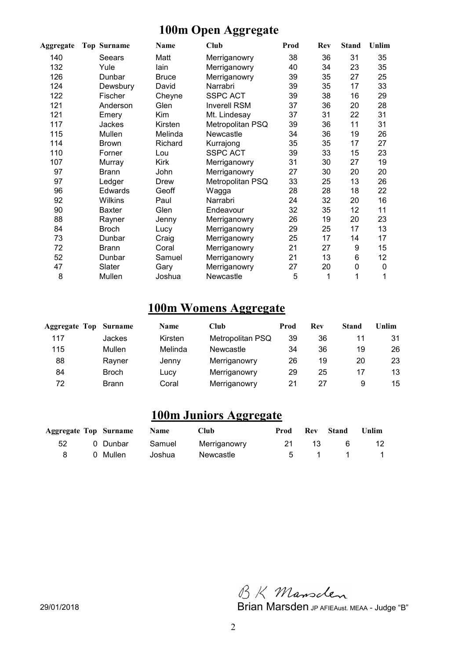# **100m Open Aggregate**

| Aggregate | <b>Top Surname</b> | Name         | Club                | Prod | Rev | <b>Stand</b> | Unlim |
|-----------|--------------------|--------------|---------------------|------|-----|--------------|-------|
| 140       | Seears             | Matt         | Merriganowry        | 38   | 36  | 31           | 35    |
| 132       | Yule               | lain         | Merriganowry        | 40   | 34  | 23           | 35    |
| 126       | Dunbar             | <b>Bruce</b> | Merriganowry        | 39   | 35  | 27           | 25    |
| 124       | Dewsbury           | David        | Narrabri            | 39   | 35  | 17           | 33    |
| 122       | Fischer            | Cheyne       | <b>SSPC ACT</b>     | 39   | 38  | 16           | 29    |
| 121       | Anderson           | Glen         | <b>Inverell RSM</b> | 37   | 36  | 20           | 28    |
| 121       | Emery              | Kim          | Mt. Lindesay        | 37   | 31  | 22           | 31    |
| 117       | <b>Jackes</b>      | Kirsten      | Metropolitan PSQ    | 39   | 36  | 11           | 31    |
| 115       | Mullen             | Melinda      | Newcastle           | 34   | 36  | 19           | 26    |
| 114       | <b>Brown</b>       | Richard      | Kurrajong           | 35   | 35  | 17           | 27    |
| 110       | Forner             | Lou          | <b>SSPC ACT</b>     | 39   | 33  | 15           | 23    |
| 107       | Murray             | Kirk         | Merriganowry        | 31   | 30  | 27           | 19    |
| 97        | <b>Brann</b>       | John         | Merriganowry        | 27   | 30  | 20           | 20    |
| 97        | Ledger             | Drew         | Metropolitan PSQ    | 33   | 25  | 13           | 26    |
| 96        | Edwards            | Geoff        | Wagga               | 28   | 28  | 18           | 22    |
| 92        | <b>Wilkins</b>     | Paul         | Narrabri            | 24   | 32  | 20           | 16    |
| 90        | Baxter             | Glen         | Endeavour           | 32   | 35  | 12           | 11    |
| 88        | Rayner             | Jenny        | Merriganowry        | 26   | 19  | 20           | 23    |
| 84        | <b>Broch</b>       | Lucy         | Merriganowry        | 29   | 25  | 17           | 13    |
| 73        | Dunbar             | Craig        | Merriganowry        | 25   | 17  | 14           | 17    |
| 72        | <b>Brann</b>       | Coral        | Merriganowry        | 21   | 27  | 9            | 15    |
| 52        | Dunbar             | Samuel       | Merriganowry        | 21   | 13  | 6            | 12    |
| 47        | Slater             | Gary         | Merriganowry        | 27   | 20  | 0            | 0     |
| 8         | Mullen             | Joshua       | Newcastle           | 5    | 1   | 1            | 1     |

### **100m Womens Aggregate**

| <b>Aggregate Top Surname</b> |              | <b>Name</b> | Club             | Prod | Rev | <b>Stand</b> | Unlim |
|------------------------------|--------------|-------------|------------------|------|-----|--------------|-------|
| 117                          | Jackes       | Kirsten     | Metropolitan PSQ | 39   | 36  |              | 31    |
| 115                          | Mullen       | Melinda     | Newcastle        | 34   | 36  | 19           | 26    |
| 88                           | Rayner       | Jenny       | Merriganowry     | 26   | 19  | 20           | 23    |
| 84                           | <b>Broch</b> | Lucy        | Merriganowry     | 29   | 25  |              | 13    |
| 72                           | <b>Brann</b> | Coral       | Merriganowry     | 21   | 27  | 9            | 15    |

#### **100m Juniors Aggregate**

|    | <b>Aggregate Top Surname</b> Name |        | <b>Club</b>  | Prod |                 | <b>Rev</b> Stand | <b>Unlim</b> |
|----|-----------------------------------|--------|--------------|------|-----------------|------------------|--------------|
| 52 | 0 Dunbar       Samuel             |        | Merriganowry |      | $\overline{13}$ | 6                | 12.          |
| 8  | 0 Mullen                          | Joshua | Newcastle    |      |                 | 5 1 1 1          |              |

BK Mansclen

29/01/2018 Brian Marsden JP AFIEAust. MEAA - Judge "B"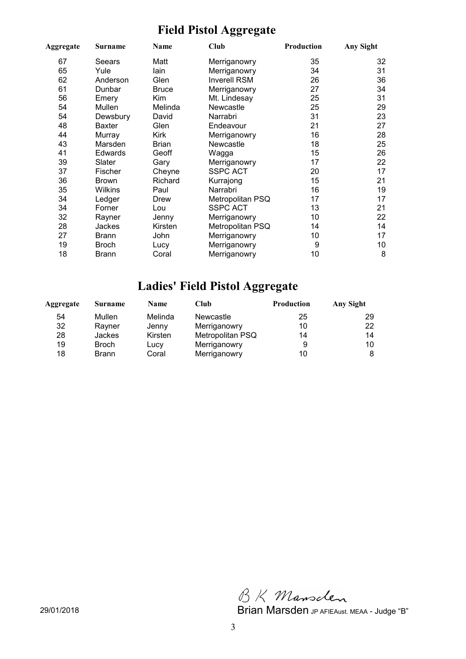### **Field Pistol Aggregate**

| Aggregate | Surname        | Name         | <b>Club</b>         | Production | Any Sight |
|-----------|----------------|--------------|---------------------|------------|-----------|
| 67        | Seears         | Matt         | Merriganowry        | 35         | 32        |
| 65        | Yule           | lain         | Merriganowry        | 34         | 31        |
| 62        | Anderson       | Glen         | <b>Inverell RSM</b> | 26         | 36        |
| 61        | Dunbar         | <b>Bruce</b> | Merriganowry        | 27         | 34        |
| 56        | Emery          | Kim          | Mt. Lindesay        | 25         | 31        |
| 54        | Mullen         | Melinda      | <b>Newcastle</b>    | 25         | 29        |
| 54        | Dewsbury       | David        | Narrabri            | 31         | 23        |
| 48        | Baxter         | Glen         | Endeavour           | 21         | 27        |
| 44        | Murray         | Kirk         | Merriganowry        | 16         | 28        |
| 43        | Marsden        | Brian        | Newcastle           | 18         | 25        |
| 41        | Edwards        | Geoff        | Wagga               | 15         | 26        |
| 39        | Slater         | Gary         | Merriganowry        | 17         | 22        |
| 37        | <b>Fischer</b> | Cheyne       | <b>SSPC ACT</b>     | 20         | 17        |
| 36        | <b>Brown</b>   | Richard      | Kurrajong           | 15         | 21        |
| 35        | Wilkins        | Paul         | Narrabri            | 16         | 19        |
| 34        | Ledger         | Drew         | Metropolitan PSQ    | 17         | 17        |
| 34        | Forner         | Lou          | <b>SSPC ACT</b>     | 13         | 21        |
| 32        | Rayner         | Jenny        | Merriganowry        | 10         | 22        |
| 28        | Jackes         | Kirsten      | Metropolitan PSQ    | 14         | 14        |
| 27        | Brann          | John         | Merriganowry        | 10         | 17        |
| 19        | <b>Broch</b>   | Lucy         | Merriganowry        | 9          | 10        |
| 18        | <b>Brann</b>   | Coral        | Merriganowry        | 10         | 8         |

### **Ladies' Field Pistol Aggregate**

| Aggregate | Surname       | <b>Name</b> | Club             | <b>Production</b> | Any Sight |
|-----------|---------------|-------------|------------------|-------------------|-----------|
| 54        | Mullen        | Melinda     | <b>Newcastle</b> | 25                | 29        |
| 32        | Rayner        | Jenny       | Merriganowry     | 10                | 22        |
| 28        | <b>Jackes</b> | Kirsten     | Metropolitan PSQ | 14                | 14        |
| 19        | <b>Broch</b>  | Lucy        | Merriganowry     | 9                 | 10        |
| 18        | <b>Brann</b>  | Coral       | Merriganowry     | 10                |           |

BK Mansclen

29/01/2018 Brian Marsden JP AFIEAust. MEAA - Judge "B"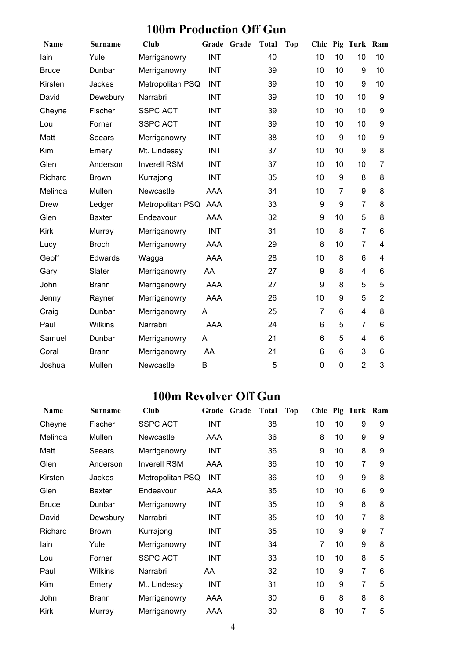### **100m Production Off Gun**

| Name         | <b>Surname</b> | Club                | Grade      | Grade | <b>Total</b> | <b>Top</b> | Chic             |    | Pig Turk Ram   |                |
|--------------|----------------|---------------------|------------|-------|--------------|------------|------------------|----|----------------|----------------|
| lain         | Yule           | Merriganowry        | <b>INT</b> |       | 40           |            | 10               | 10 | 10             | 10             |
| <b>Bruce</b> | Dunbar         | Merriganowry        | <b>INT</b> |       | 39           |            | 10               | 10 | 9              | 10             |
| Kirsten      | Jackes         | Metropolitan PSQ    | <b>INT</b> |       | 39           |            | 10               | 10 | 9              | 10             |
| David        | Dewsbury       | Narrabri            | <b>INT</b> |       | 39           |            | 10               | 10 | 10             | 9              |
| Cheyne       | Fischer        | <b>SSPC ACT</b>     | <b>INT</b> |       | 39           |            | 10               | 10 | 10             | 9              |
| Lou          | Forner         | <b>SSPC ACT</b>     | <b>INT</b> |       | 39           |            | 10               | 10 | 10             | 9              |
| Matt         | Seears         | Merriganowry        | <b>INT</b> |       | 38           |            | 10               | 9  | 10             | 9              |
| Kim          | Emery          | Mt. Lindesay        | <b>INT</b> |       | 37           |            | 10               | 10 | 9              | 8              |
| Glen         | Anderson       | <b>Inverell RSM</b> | <b>INT</b> |       | 37           |            | 10               | 10 | 10             | 7              |
| Richard      | <b>Brown</b>   | Kurrajong           | <b>INT</b> |       | 35           |            | 10               | 9  | 8              | 8              |
| Melinda      | Mullen         | Newcastle           | <b>AAA</b> |       | 34           |            | 10               | 7  | 9              | 8              |
| Drew         | Ledger         | Metropolitan PSQ    | AAA        |       | 33           |            | 9                | 9  | $\overline{7}$ | 8              |
| Glen         | <b>Baxter</b>  | Endeavour           | <b>AAA</b> |       | 32           |            | $\boldsymbol{9}$ | 10 | 5              | 8              |
| <b>Kirk</b>  | Murray         | Merriganowry        | <b>INT</b> |       | 31           |            | 10               | 8  | $\overline{7}$ | 6              |
| Lucy         | <b>Broch</b>   | Merriganowry        | AAA        |       | 29           |            | 8                | 10 | $\overline{7}$ | $\overline{4}$ |
| Geoff        | Edwards        | Wagga               | <b>AAA</b> |       | 28           |            | 10               | 8  | 6              | $\overline{4}$ |
| Gary         | Slater         | Merriganowry        | AA         |       | 27           |            | 9                | 8  | 4              | 6              |
| John         | <b>Brann</b>   | Merriganowry        | <b>AAA</b> |       | 27           |            | 9                | 8  | 5              | 5              |
| Jenny        | Rayner         | Merriganowry        | <b>AAA</b> |       | 26           |            | 10               | 9  | 5              | $\overline{2}$ |
| Craig        | Dunbar         | Merriganowry        | Α          |       | 25           |            | $\overline{7}$   | 6  | 4              | 8              |
| Paul         | Wilkins        | Narrabri            | <b>AAA</b> |       | 24           |            | 6                | 5  | 7              | 6              |
| Samuel       | Dunbar         | Merriganowry        | A          |       | 21           |            | 6                | 5  | 4              | 6              |
| Coral        | <b>Brann</b>   | Merriganowry        | AA         |       | 21           |            | 6                | 6  | 3              | 6              |
| Joshua       | Mullen         | Newcastle           | B          |       | 5            |            | $\mathbf 0$      | 0  | $\overline{2}$ | 3              |

### **100m Revolver Off Gun**

| <b>Name</b>  | Surname       | Club                | Grade      | Grade | <b>Total</b> | Top |    |                 | Chic Pig Turk Ram |   |
|--------------|---------------|---------------------|------------|-------|--------------|-----|----|-----------------|-------------------|---|
| Cheyne       | Fischer       | <b>SSPC ACT</b>     | <b>INT</b> |       | 38           |     | 10 | 10              | 9                 | 9 |
| Melinda      | Mullen        | <b>Newcastle</b>    | <b>AAA</b> |       | 36           |     | 8  | 10              | 9                 | 9 |
| Matt         | Seears        | Merriganowry        | <b>INT</b> |       | 36           |     | 9  | 10              | 8                 | 9 |
| Glen         | Anderson      | <b>Inverell RSM</b> | AAA        |       | 36           |     | 10 | 10              | $\overline{7}$    | 9 |
| Kirsten      | Jackes        | Metropolitan PSQ    | <b>INT</b> |       | 36           |     | 10 | 9               | 9                 | 8 |
| Glen         | <b>Baxter</b> | Endeavour           | AAA        |       | 35           |     | 10 | 10              | 6                 | 9 |
| <b>Bruce</b> | Dunbar        | Merriganowry        | <b>INT</b> |       | 35           |     | 10 | 9               | 8                 | 8 |
| David        | Dewsbury      | Narrabri            | <b>INT</b> |       | 35           |     | 10 | 10              | 7                 | 8 |
| Richard      | Brown         | Kurrajong           | <b>INT</b> |       | 35           |     | 10 | 9               | 9                 | 7 |
| lain         | Yule          | Merriganowry        | <b>INT</b> |       | 34           |     | 7  | 10              | 9                 | 8 |
| Lou          | Forner        | <b>SSPC ACT</b>     | <b>INT</b> |       | 33           |     | 10 | 10 <sup>1</sup> | 8                 | 5 |
| Paul         | Wilkins       | Narrabri            | AA         |       | 32           |     | 10 | 9               | $\overline{7}$    | 6 |
| Kim          | Emery         | Mt. Lindesay        | <b>INT</b> |       | 31           |     | 10 | 9               | $\overline{7}$    | 5 |
| John         | Brann         | Merriganowry        | AAA        |       | 30           |     | 6  | 8               | 8                 | 8 |
| <b>Kirk</b>  | Murray        | Merriganowry        | AAA        |       | 30           |     | 8  | 10              | 7                 | 5 |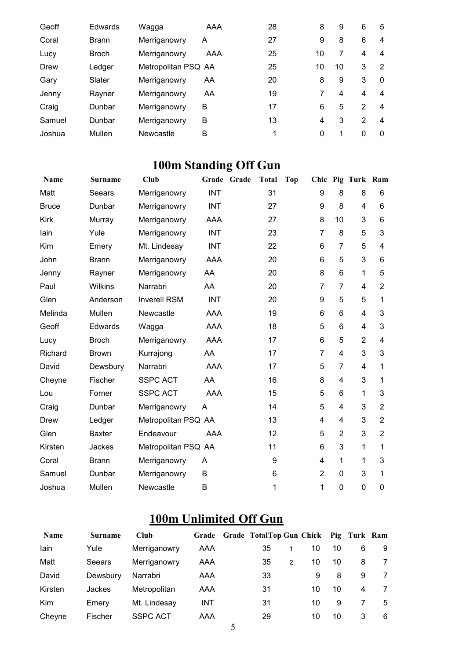| Geoff  | Edwards      | Wagga               | AAA | 28 | 8  | 9  | 6             | 5        |
|--------|--------------|---------------------|-----|----|----|----|---------------|----------|
| Coral  | <b>Brann</b> | Merriganowry        | A   | 27 | 9  | 8  | 6             | 4        |
| Lucy   | <b>Broch</b> | Merriganowry        | AAA | 25 | 10 | 7  | 4             | 4        |
| Drew   | Ledger       | Metropolitan PSQ AA |     | 25 | 10 | 10 | 3             | 2        |
| Gary   | Slater       | Merriganowry        | AA  | 20 | 8  | 9  | 3             | $\Omega$ |
| Jenny  | Rayner       | Merriganowry        | AA  | 19 | 7  | 4  | 4             | 4        |
| Craig  | Dunbar       | Merriganowry        | B   | 17 | 6  | 5  | $\mathcal{P}$ | 4        |
| Samuel | Dunbar       | Merriganowry        | B   | 13 | 4  | 3  | 2             | 4        |
| Joshua | Mullen       | Newcastle           | B   |    | 0  |    | 0             | $\Omega$ |

# **100m Standing Off Gun**

| <b>Name</b>  | Surname       | <b>Club</b>         | Grade      | Grade | <b>Total</b> | <b>Top</b> | Chic           |                | Pig Turk Ram   |                |
|--------------|---------------|---------------------|------------|-------|--------------|------------|----------------|----------------|----------------|----------------|
| Matt         | Seears        | Merriganowry        | <b>INT</b> |       | 31           |            | 9              | 8              | 8              | 6              |
| <b>Bruce</b> | Dunbar        | Merriganowry        | <b>INT</b> |       | 27           |            | 9              | 8              | 4              | 6              |
| Kirk         | Murray        | Merriganowry        | <b>AAA</b> |       | 27           |            | 8              | 10             | 3              | 6              |
| lain         | Yule          | Merriganowry        | <b>INT</b> |       | 23           |            | $\overline{7}$ | 8              | 5              | 3              |
| Kim          | Emery         | Mt. Lindesay        | <b>INT</b> |       | 22           |            | 6              | $\overline{7}$ | 5              | $\overline{4}$ |
| John         | <b>Brann</b>  | Merriganowry        | AAA        |       | 20           |            | 6              | 5              | 3              | 6              |
| Jenny        | Rayner        | Merriganowry        | AA         |       | 20           |            | 8              | 6              | 1              | 5              |
| Paul         | Wilkins       | Narrabri            | AA         |       | 20           |            | $\overline{7}$ | 7              | 4              | $\overline{2}$ |
| Glen         | Anderson      | <b>Inverell RSM</b> | <b>INT</b> |       | 20           |            | 9              | 5              | 5              | 1              |
| Melinda      | Mullen        | Newcastle           | <b>AAA</b> |       | 19           |            | 6              | 6              | 4              | 3              |
| Geoff        | Edwards       | Wagga               | <b>AAA</b> |       | 18           |            | 5              | 6              | 4              | 3              |
| Lucy         | <b>Broch</b>  | Merriganowry        | <b>AAA</b> |       | 17           |            | 6              | 5              | $\overline{2}$ | $\overline{4}$ |
| Richard      | <b>Brown</b>  | Kurrajong           | AA         |       | 17           |            | $\overline{7}$ | 4              | 3              | 3              |
| David        | Dewsbury      | Narrabri            | <b>AAA</b> |       | 17           |            | 5              | 7              | 4              | 1              |
| Cheyne       | Fischer       | <b>SSPC ACT</b>     | AA         |       | 16           |            | 8              | 4              | 3              | 1              |
| Lou          | Forner        | <b>SSPC ACT</b>     | <b>AAA</b> |       | 15           |            | 5              | 6              | 1              | 3              |
| Craig        | Dunbar        | Merriganowry        | A          |       | 14           |            | 5              | 4              | 3              | $\overline{2}$ |
| <b>Drew</b>  | Ledger        | Metropolitan PSQ AA |            |       | 13           |            | 4              | 4              | 3              | $\overline{2}$ |
| Glen         | <b>Baxter</b> | Endeavour           | <b>AAA</b> |       | 12           |            | 5              | $\overline{2}$ | 3              | $\overline{2}$ |
| Kirsten      | Jackes        | Metropolitan PSQ AA |            |       | 11           |            | 6              | 3              | 1              | 1              |
| Coral        | <b>Brann</b>  | Merriganowry        | A          |       | 9            |            | 4              | 1              | 1              | 3              |
| Samuel       | Dunbar        | Merriganowry        | B          |       | 6            |            | $\overline{2}$ | 0              | 3              | 1              |
| Joshua       | Mullen        | Newcastle           | B          |       | 1            |            | 1              | $\mathbf 0$    | $\overline{0}$ | 0              |

### **100m Unlimited Off Gun**

| <b>Name</b> | <b>Surname</b> | <b>Club</b>     | Grade      | Grade TotalTop Gun Chick Pig Turk Ram |               |    |    |   |   |
|-------------|----------------|-----------------|------------|---------------------------------------|---------------|----|----|---|---|
| lain        | Yule           | Merriganowry    | AAA        | 35                                    |               | 10 | 10 | 6 | 9 |
| Matt        | Seears         | Merriganowry    | AAA        | 35                                    | $\mathcal{P}$ | 10 | 10 | 8 |   |
| David       | Dewsbury       | Narrabri        | AAA        | 33                                    |               | 9  | 8  | 9 | 7 |
| Kirsten     | Jackes         | Metropolitan    | AAA        | 31                                    |               | 10 | 10 | 4 | 7 |
| Kim         | Emery          | Mt. Lindesay    | <b>INT</b> | 31                                    |               | 10 | 9  |   | 5 |
| Cheyne      | Fischer        | <b>SSPC ACT</b> | AAA        | 29                                    |               | 10 | 10 | 3 | 6 |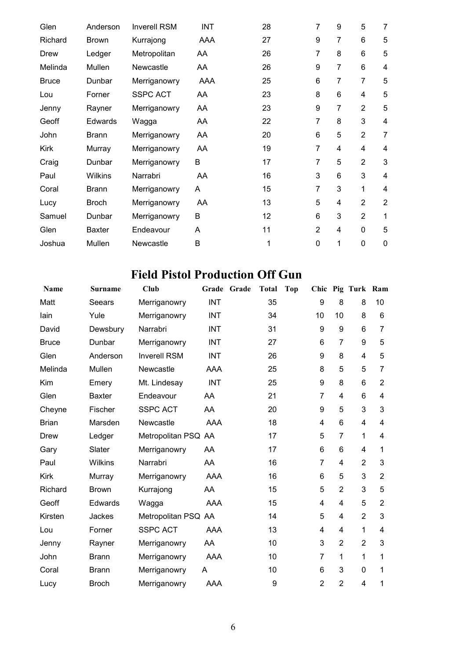| Glen         | Anderson      | <b>Inverell RSM</b> | <b>INT</b> | 28 | $\overline{7}$ | 9              | 5              | 7              |
|--------------|---------------|---------------------|------------|----|----------------|----------------|----------------|----------------|
| Richard      | <b>Brown</b>  | Kurrajong           | <b>AAA</b> | 27 | 9              | 7              | 6              | 5              |
| Drew         | Ledger        | Metropolitan        | AA         | 26 | $\overline{7}$ | 8              | 6              | 5              |
| Melinda      | Mullen        | Newcastle           | AA         | 26 | 9              | 7              | 6              | 4              |
| <b>Bruce</b> | Dunbar        | Merriganowry        | <b>AAA</b> | 25 | 6              | 7              | $\overline{7}$ | 5              |
| Lou          | Forner        | <b>SSPC ACT</b>     | AA         | 23 | 8              | $6\phantom{1}$ | 4              | 5              |
| Jenny        | Rayner        | Merriganowry        | AA         | 23 | 9              | 7              | $\overline{2}$ | 5              |
| Geoff        | Edwards       | Wagga               | AA         | 22 | $\overline{7}$ | 8              | 3              | 4              |
| John         | <b>Brann</b>  | Merriganowry        | AA         | 20 | 6              | 5              | $\overline{2}$ | $\overline{7}$ |
| <b>Kirk</b>  | Murray        | Merriganowry        | AA         | 19 | $\overline{7}$ | 4              | 4              | 4              |
| Craig        | Dunbar        | Merriganowry        | B          | 17 | 7              | 5              | $\overline{2}$ | 3              |
| Paul         | Wilkins       | Narrabri            | AA         | 16 | 3              | 6              | 3              | 4              |
| Coral        | <b>Brann</b>  | Merriganowry        | A          | 15 | $\overline{7}$ | 3              | $\mathbf{1}$   | 4              |
| Lucy         | <b>Broch</b>  | Merriganowry        | AA         | 13 | 5              | 4              | $\overline{2}$ | $\overline{2}$ |
| Samuel       | Dunbar        | Merriganowry        | B          | 12 | 6              | 3              | 2              | $\mathbf{1}$   |
| Glen         | <b>Baxter</b> | Endeavour           | A          | 11 | $\overline{2}$ | 4              | 0              | 5              |
| Joshua       | Mullen        | Newcastle           | B          | 1  | $\mathbf 0$    | 1              | 0              | $\pmb{0}$      |

### **Field Pistol Production Off Gun**

| <b>Name</b>  | <b>Surname</b> | Club                | Grade      | Grade | <b>Total</b> | <b>Top</b> |                |                | Chic Pig Turk Ram |                |
|--------------|----------------|---------------------|------------|-------|--------------|------------|----------------|----------------|-------------------|----------------|
| Matt         | Seears         | Merriganowry        | <b>INT</b> |       | 35           |            | 9              | 8              | 8                 | 10             |
| lain         | Yule           | Merriganowry        | <b>INT</b> |       | 34           |            | 10             | 10             | 8                 | 6              |
| David        | Dewsbury       | Narrabri            | <b>INT</b> |       | 31           |            | 9              | 9              | 6                 | $\overline{7}$ |
| <b>Bruce</b> | Dunbar         | Merriganowry        | <b>INT</b> |       | 27           |            | 6              | 7              | 9                 | 5              |
| Glen         | Anderson       | <b>Inverell RSM</b> | <b>INT</b> |       | 26           |            | 9              | 8              | 4                 | 5              |
| Melinda      | Mullen         | Newcastle           | <b>AAA</b> |       | 25           |            | 8              | 5              | 5                 | $\overline{7}$ |
| Kim          | Emery          | Mt. Lindesay        | <b>INT</b> |       | 25           |            | 9              | 8              | 6                 | $\overline{2}$ |
| Glen         | Baxter         | Endeavour           | AA         |       | 21           |            | 7              | 4              | 6                 | 4              |
| Cheyne       | Fischer        | <b>SSPC ACT</b>     | AA         |       | 20           |            | 9              | 5              | 3                 | 3              |
| <b>Brian</b> | Marsden        | Newcastle           | <b>AAA</b> |       | 18           |            | 4              | 6              | 4                 | 4              |
| Drew         | Ledger         | Metropolitan PSQ AA |            |       | 17           |            | 5              | $\overline{7}$ | 1                 | 4              |
| Gary         | Slater         | Merriganowry        | AA         |       | 17           |            | 6              | 6              | 4                 | 1              |
| Paul         | Wilkins        | Narrabri            | AA         |       | 16           |            | $\overline{7}$ | 4              | $\overline{2}$    | 3              |
| <b>Kirk</b>  | Murray         | Merriganowry        | <b>AAA</b> |       | 16           |            | 6              | 5              | 3                 | $\overline{2}$ |
| Richard      | <b>Brown</b>   | Kurrajong           | AA         |       | 15           |            | 5              | $\overline{2}$ | 3                 | 5              |
| Geoff        | Edwards        | Wagga               | <b>AAA</b> |       | 15           |            | 4              | 4              | 5                 | $\overline{2}$ |
| Kirsten      | Jackes         | Metropolitan PSQ AA |            |       | 14           |            | 5              | 4              | $\overline{2}$    | 3              |
| Lou          | Forner         | <b>SSPC ACT</b>     | <b>AAA</b> |       | 13           |            | 4              | 4              | 1                 | 4              |
| Jenny        | Rayner         | Merriganowry        | AA         |       | 10           |            | 3              | $\overline{2}$ | $\overline{2}$    | 3              |
| John         | <b>Brann</b>   | Merriganowry        | <b>AAA</b> |       | 10           |            | $\overline{7}$ | 1              | 1                 | 1              |
| Coral        | <b>Brann</b>   | Merriganowry        | A          |       | 10           |            | 6              | 3              | 0                 | 1              |
| Lucy         | <b>Broch</b>   | Merriganowry        | <b>AAA</b> |       | 9            |            | $\overline{2}$ | $\overline{2}$ | 4                 | 1              |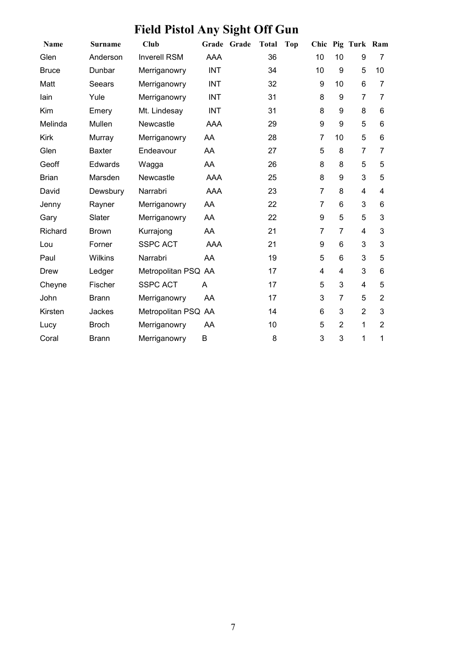# **Field Pistol Any Sight Off Gun**

| Name         | Surname        | Club                | Grade      | Grade | <b>Total</b> | <b>Top</b> | Chic             |                 | Pig Turk Ram   |                |
|--------------|----------------|---------------------|------------|-------|--------------|------------|------------------|-----------------|----------------|----------------|
| Glen         | Anderson       | <b>Inverell RSM</b> | AAA        |       | 36           |            | 10               | 10              | 9              | 7              |
| <b>Bruce</b> | Dunbar         | Merriganowry        | <b>INT</b> |       | 34           |            | 10               | 9               | 5              | 10             |
| Matt         | Seears         | Merriganowry        | <b>INT</b> |       | 32           |            | 9                | 10              | 6              | 7              |
| lain         | Yule           | Merriganowry        | <b>INT</b> |       | 31           |            | 8                | 9               | 7              | 7              |
| Kim          | Emery          | Mt. Lindesay        | <b>INT</b> |       | 31           |            | 8                | 9               | 8              | 6              |
| Melinda      | Mullen         | Newcastle           | <b>AAA</b> |       | 29           |            | 9                | 9               | 5              | 6              |
| Kirk         | Murray         | Merriganowry        | AA         |       | 28           |            | $\overline{7}$   | 10              | 5              | 6              |
| Glen         | <b>Baxter</b>  | Endeavour           | AA         |       | 27           |            | 5                | 8               | $\overline{7}$ | 7              |
| Geoff        | Edwards        | Wagga               | AA         |       | 26           |            | 8                | 8               | 5              | 5              |
| <b>Brian</b> | Marsden        | Newcastle           | <b>AAA</b> |       | 25           |            | 8                | 9               | 3              | 5              |
| David        | Dewsbury       | Narrabri            | <b>AAA</b> |       | 23           |            | $\overline{7}$   | 8               | 4              | 4              |
| Jenny        | Rayner         | Merriganowry        | AA         |       | 22           |            | $\overline{7}$   | $6\phantom{1}6$ | 3              | 6              |
| Gary         | Slater         | Merriganowry        | AA         |       | 22           |            | $\boldsymbol{9}$ | 5               | 5              | 3              |
| Richard      | <b>Brown</b>   | Kurrajong           | AA         |       | 21           |            | $\overline{7}$   | $\overline{7}$  | 4              | 3              |
| Lou          | Forner         | <b>SSPC ACT</b>     | <b>AAA</b> |       | 21           |            | 9                | 6               | 3              | 3              |
| Paul         | <b>Wilkins</b> | Narrabri            | AA         |       | 19           |            | 5                | 6               | 3              | 5              |
| Drew         | Ledger         | Metropolitan PSQ AA |            |       | 17           |            | $\overline{4}$   | $\overline{4}$  | 3              | 6              |
| Cheyne       | Fischer        | <b>SSPC ACT</b>     | A          |       | 17           |            | 5                | 3               | $\overline{4}$ | 5              |
| John         | <b>Brann</b>   | Merriganowry        | AA         |       | 17           |            | 3                | $\overline{7}$  | 5              | $\overline{2}$ |
| Kirsten      | Jackes         | Metropolitan PSQ AA |            |       | 14           |            | 6                | 3               | $\overline{2}$ | 3              |
| Lucy         | <b>Broch</b>   | Merriganowry        | AA         |       | 10           |            | 5                | $\overline{2}$  | 1              | $\overline{2}$ |
| Coral        | <b>Brann</b>   | Merriganowry        | B          |       | 8            |            | 3                | 3               | 1              | 1              |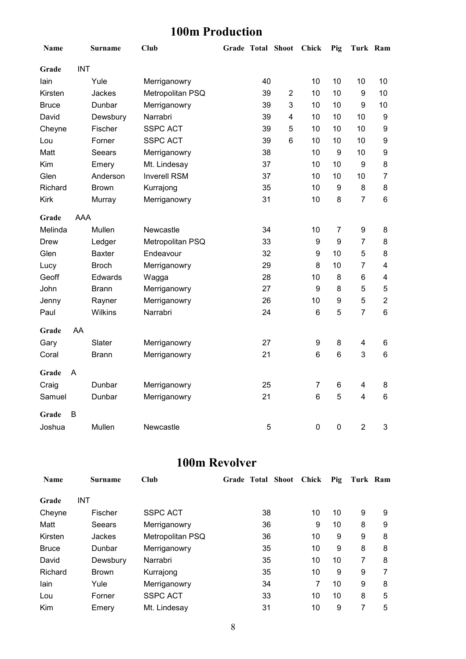### **100m Production**

| Name         |            | <b>Surname</b> | <b>Club</b>         |    | Grade Total Shoot Chick |                 | Pig              | Turk Ram       |                         |
|--------------|------------|----------------|---------------------|----|-------------------------|-----------------|------------------|----------------|-------------------------|
| Grade        | <b>INT</b> |                |                     |    |                         |                 |                  |                |                         |
| lain         |            | Yule           | Merriganowry        | 40 |                         | 10              | 10               | 10             | 10                      |
| Kirsten      |            | Jackes         | Metropolitan PSQ    | 39 | $\overline{2}$          | 10              | 10               | 9              | 10                      |
| <b>Bruce</b> |            | Dunbar         | Merriganowry        | 39 | $\mathbf{3}$            | 10              | 10               | 9              | 10                      |
| David        |            | Dewsbury       | Narrabri            | 39 | $\overline{4}$          | 10              | 10               | 10             | $\boldsymbol{9}$        |
| Cheyne       |            | Fischer        | <b>SSPC ACT</b>     | 39 | 5                       | 10              | 10               | 10             | $\boldsymbol{9}$        |
| Lou          |            | Forner         | <b>SSPC ACT</b>     | 39 | $6\phantom{1}$          | 10              | 10               | 10             | 9                       |
| Matt         |            | Seears         | Merriganowry        | 38 |                         | 10              | 9                | 10             | 9                       |
| Kim          |            | Emery          | Mt. Lindesay        | 37 |                         | 10              | 10               | 9              | 8                       |
| Glen         |            | Anderson       | <b>Inverell RSM</b> | 37 |                         | 10              | 10               | 10             | $\overline{7}$          |
| Richard      |            | <b>Brown</b>   | Kurrajong           | 35 |                         | 10              | $\boldsymbol{9}$ | 8              | 8                       |
| <b>Kirk</b>  |            | Murray         | Merriganowry        | 31 |                         | 10              | 8                | $\overline{7}$ | $\,6$                   |
| Grade        | <b>AAA</b> |                |                     |    |                         |                 |                  |                |                         |
| Melinda      |            | Mullen         | Newcastle           | 34 |                         | 10              | $\overline{7}$   | 9              | 8                       |
| <b>Drew</b>  |            | Ledger         | Metropolitan PSQ    | 33 |                         | 9               | $\boldsymbol{9}$ | $\overline{7}$ | 8                       |
| Glen         |            | <b>Baxter</b>  | Endeavour           | 32 |                         | 9               | 10               | 5              | 8                       |
| Lucy         |            | <b>Broch</b>   | Merriganowry        | 29 |                         | 8               | 10               | $\overline{7}$ | $\overline{\mathbf{4}}$ |
| Geoff        |            | Edwards        | Wagga               | 28 |                         | 10              | 8                | 6              | 4                       |
| John         |            | <b>Brann</b>   | Merriganowry        | 27 |                         | 9               | 8                | 5              | 5                       |
| Jenny        |            | Rayner         | Merriganowry        | 26 |                         | 10              | 9                | 5              | $\overline{2}$          |
| Paul         |            | Wilkins        | Narrabri            | 24 |                         | 6               | 5                | $\overline{7}$ | 6                       |
| Grade        | AA         |                |                     |    |                         |                 |                  |                |                         |
| Gary         |            | Slater         | Merriganowry        | 27 |                         | 9               | 8                | 4              | 6                       |
| Coral        |            | <b>Brann</b>   | Merriganowry        | 21 |                         | 6               | 6                | 3              | 6                       |
| Grade        | A          |                |                     |    |                         |                 |                  |                |                         |
| Craig        |            | Dunbar         | Merriganowry        | 25 |                         | $\overline{7}$  | 6                | 4              | 8                       |
| Samuel       |            | Dunbar         | Merriganowry        | 21 |                         | $6\phantom{1}6$ | 5                | 4              | 6                       |
| Grade        | B          |                |                     |    |                         |                 |                  |                |                         |
| Joshua       |            | Mullen         | Newcastle           | 5  |                         | $\mathbf 0$     | $\pmb{0}$        | $\overline{2}$ | 3                       |

### **100m Revolver**

| <b>Name</b>  | <b>Surname</b> | Club             | Grade Total Shoot | <b>Chick</b> | Pig | Turk Ram |   |
|--------------|----------------|------------------|-------------------|--------------|-----|----------|---|
| Grade        | <b>INT</b>     |                  |                   |              |     |          |   |
| Cheyne       | Fischer        | <b>SSPC ACT</b>  | 38                | 10           | 10  | 9        | 9 |
| Matt         | Seears         | Merriganowry     | 36                | 9            | 10  | 8        | 9 |
| Kirsten      | Jackes         | Metropolitan PSQ | 36                | 10           | 9   | 9        | 8 |
| <b>Bruce</b> | Dunbar         | Merriganowry     | 35                | 10           | 9   | 8        | 8 |
| David        | Dewsbury       | Narrabri         | 35                | 10           | 10  | 7        | 8 |
| Richard      | <b>Brown</b>   | Kurrajong        | 35                | 10           | 9   | 9        | 7 |
| lain         | Yule           | Merriganowry     | 34                | 7            | 10  | 9        | 8 |
| Lou          | Forner         | <b>SSPC ACT</b>  | 33                | 10           | 10  | 8        | 5 |
| Kim          | Emery          | Mt. Lindesay     | 31                | 10           | 9   | 7        | 5 |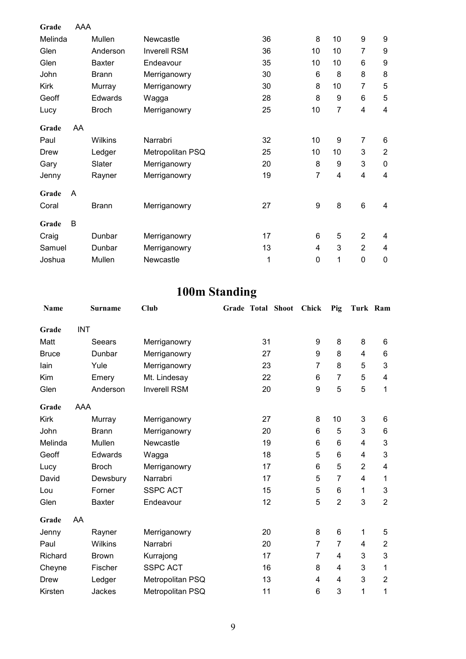| Grade       | AAA |               |                     |    |                  |                |                 |                |
|-------------|-----|---------------|---------------------|----|------------------|----------------|-----------------|----------------|
| Melinda     |     | Mullen        | Newcastle           | 36 | 8                | 10             | 9               | 9              |
| Glen        |     | Anderson      | <b>Inverell RSM</b> | 36 | 10               | 10             | 7               | 9              |
| Glen        |     | <b>Baxter</b> | Endeavour           | 35 | 10               | 10             | 6               | 9              |
| John        |     | <b>Brann</b>  | Merriganowry        | 30 | 6                | 8              | 8               | 8              |
| <b>Kirk</b> |     | Murray        | Merriganowry        | 30 | 8                | 10             | 7               | 5              |
| Geoff       |     | Edwards       | Wagga               | 28 | 8                | 9              | 6               | 5              |
| Lucy        |     | <b>Broch</b>  | Merriganowry        | 25 | 10               | $\overline{7}$ | 4               | $\overline{4}$ |
| Grade       | AA  |               |                     |    |                  |                |                 |                |
| Paul        |     | Wilkins       | Narrabri            | 32 | 10               | 9              | $\overline{7}$  | 6              |
| Drew        |     | Ledger        | Metropolitan PSQ    | 25 | 10               | 10             | 3               | $\overline{2}$ |
| Gary        |     | Slater        | Merriganowry        | 20 | 8                | 9              | 3               | $\mathbf 0$    |
| Jenny       |     | Rayner        | Merriganowry        | 19 | $\overline{7}$   | 4              | 4               | $\overline{4}$ |
| Grade       | A   |               |                     |    |                  |                |                 |                |
| Coral       |     | <b>Brann</b>  | Merriganowry        | 27 | $\boldsymbol{9}$ | 8              | $6\phantom{1}6$ | 4              |
| Grade       | B   |               |                     |    |                  |                |                 |                |
| Craig       |     | Dunbar        | Merriganowry        | 17 | 6                | 5              | $\overline{2}$  | 4              |
| Samuel      |     | Dunbar        | Merriganowry        | 13 | 4                | 3              | $\overline{2}$  | 4              |
| Joshua      |     | Mullen        | Newcastle           | 1  | $\mathbf 0$      | 1              | $\mathbf 0$     | $\mathbf 0$    |

# **100m Standing**

| Name         |            | <b>Surname</b> | Club                | <b>Grade Total Shoot</b> |    | <b>Chick</b>   | Pig            | Turk Ram       |                           |
|--------------|------------|----------------|---------------------|--------------------------|----|----------------|----------------|----------------|---------------------------|
| Grade        | <b>INT</b> |                |                     |                          |    |                |                |                |                           |
| Matt         |            | Seears         | Merriganowry        |                          | 31 | 9              | 8              | 8              | 6                         |
| <b>Bruce</b> |            | Dunbar         | Merriganowry        |                          | 27 | 9              | 8              | 4              | 6                         |
| lain         |            | Yule           | Merriganowry        |                          | 23 | $\overline{7}$ | 8              | 5              | 3                         |
| Kim          |            | Emery          | Mt. Lindesay        |                          | 22 | 6              | $\overline{7}$ | 5              | 4                         |
| Glen         |            | Anderson       | <b>Inverell RSM</b> |                          | 20 | 9              | 5              | 5              | 1                         |
| Grade        | <b>AAA</b> |                |                     |                          |    |                |                |                |                           |
| Kirk         |            | Murray         | Merriganowry        |                          | 27 | 8              | 10             | 3              | 6                         |
| John         |            | <b>Brann</b>   | Merriganowry        |                          | 20 | 6              | 5              | 3              | 6                         |
| Melinda      |            | Mullen         | Newcastle           |                          | 19 | 6              | 6              | 4              | 3                         |
| Geoff        |            | Edwards        | Wagga               |                          | 18 | 5              | 6              | 4              | $\ensuremath{\mathsf{3}}$ |
| Lucy         |            | <b>Broch</b>   | Merriganowry        |                          | 17 | 6              | 5              | $\overline{c}$ | 4                         |
| David        |            | Dewsbury       | Narrabri            |                          | 17 | 5              | $\overline{7}$ | 4              | 1                         |
| Lou          |            | Forner         | <b>SSPC ACT</b>     |                          | 15 | 5              | 6              | 1              | $\mathbf{3}$              |
| Glen         |            | <b>Baxter</b>  | Endeavour           |                          | 12 | 5              | $\overline{2}$ | 3              | $\overline{2}$            |
| Grade        | AA         |                |                     |                          |    |                |                |                |                           |
| Jenny        |            | Rayner         | Merriganowry        |                          | 20 | 8              | 6              | 1              | 5                         |
| Paul         |            | Wilkins        | Narrabri            |                          | 20 | 7              | 7              | 4              | $\overline{2}$            |
| Richard      |            | <b>Brown</b>   | Kurrajong           |                          | 17 | 7              | 4              | 3              | 3                         |
| Cheyne       |            | Fischer        | <b>SSPC ACT</b>     |                          | 16 | 8              | 4              | 3              | 1                         |
| Drew         |            | Ledger         | Metropolitan PSQ    |                          | 13 | 4              | 4              | 3              | $\overline{2}$            |
| Kirsten      |            | Jackes         | Metropolitan PSQ    |                          | 11 | 6              | 3              | 1              | 1                         |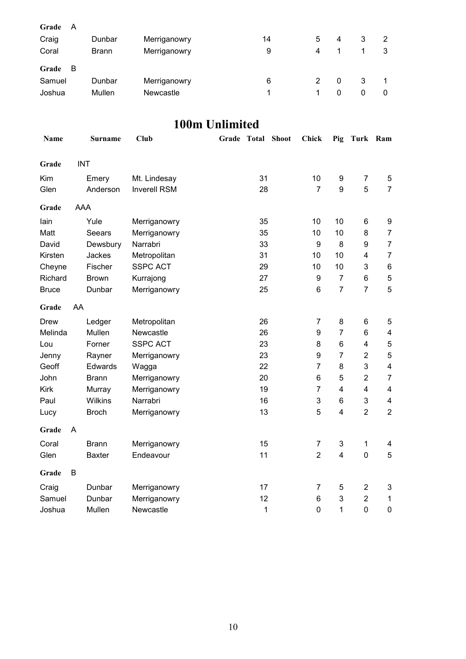| Grade<br>A<br>Craig<br>Coral | Dunbar<br>Brann | Merriganowry<br>Merriganowry | 14<br>9 | 5<br>4 | 4 | 3 | 2 |
|------------------------------|-----------------|------------------------------|---------|--------|---|---|---|
| Grade<br>B                   |                 |                              |         |        |   |   |   |
| Samuel                       | Dunbar          | Merriganowry                 | 6       |        | 0 | 3 |   |
| Joshua                       | Mullen          | <b>Newcastle</b>             |         |        | 0 | 0 | 0 |

### **100m Unlimited**

| <b>Name</b>  |    | <b>Surname</b> | <b>Club</b>         | Grade Total Shoot | <b>Chick</b>     | Pig              | Turk Ram                |                         |
|--------------|----|----------------|---------------------|-------------------|------------------|------------------|-------------------------|-------------------------|
| Grade        |    | <b>INT</b>     |                     |                   |                  |                  |                         |                         |
| Kim          |    | Emery          | Mt. Lindesay        | 31                | 10               | $\boldsymbol{9}$ | $\overline{7}$          | 5                       |
| Glen         |    | Anderson       | <b>Inverell RSM</b> | 28                | $\overline{7}$   | 9                | 5                       | $\overline{7}$          |
| Grade        |    | <b>AAA</b>     |                     |                   |                  |                  |                         |                         |
| lain         |    | Yule           | Merriganowry        | 35                | 10               | 10               | 6                       | 9                       |
| Matt         |    | Seears         | Merriganowry        | 35                | 10               | 10               | 8                       | $\overline{7}$          |
| David        |    | Dewsbury       | Narrabri            | 33                | $\boldsymbol{9}$ | 8                | 9                       | $\overline{7}$          |
| Kirsten      |    | Jackes         | Metropolitan        | 31                | 10               | 10               | 4                       | $\overline{7}$          |
| Cheyne       |    | Fischer        | <b>SSPC ACT</b>     | 29                | 10               | 10               | 3                       | $\,6\,$                 |
| Richard      |    | <b>Brown</b>   | Kurrajong           | 27                | $\boldsymbol{9}$ | $\overline{7}$   | $\,6$                   | 5                       |
| <b>Bruce</b> |    | Dunbar         | Merriganowry        | 25                | $6\phantom{1}$   | $\overline{7}$   | $\overline{7}$          | 5                       |
| Grade        | AA |                |                     |                   |                  |                  |                         |                         |
| Drew         |    | Ledger         | Metropolitan        | 26                | $\overline{7}$   | 8                | $\,6$                   | 5                       |
| Melinda      |    | Mullen         | Newcastle           | 26                | 9                | $\overline{7}$   | $\,6$                   | 4                       |
| Lou          |    | Forner         | <b>SSPC ACT</b>     | 23                | 8                | 6                | $\overline{\mathbf{4}}$ | 5                       |
| Jenny        |    | Rayner         | Merriganowry        | 23                | 9                | $\overline{7}$   | $\overline{2}$          | $\mathbf 5$             |
| Geoff        |    | Edwards        | Wagga               | 22                | $\overline{7}$   | 8                | 3                       | 4                       |
| John         |    | <b>Brann</b>   | Merriganowry        | 20                | 6                | 5                | $\overline{2}$          | $\overline{7}$          |
| <b>Kirk</b>  |    | Murray         | Merriganowry        | 19                | $\overline{7}$   | 4                | $\overline{\mathbf{4}}$ | $\overline{\mathbf{4}}$ |
| Paul         |    | Wilkins        | Narrabri            | 16                | 3                | 6                | 3                       | 4                       |
| Lucy         |    | <b>Broch</b>   | Merriganowry        | 13                | 5                | 4                | $\overline{2}$          | $\overline{2}$          |
| Grade        | A  |                |                     |                   |                  |                  |                         |                         |
| Coral        |    | <b>Brann</b>   | Merriganowry        | 15                | $\overline{7}$   | 3                | $\mathbf{1}$            | 4                       |
| Glen         |    | <b>Baxter</b>  | Endeavour           | 11                | $\overline{2}$   | 4                | $\mathbf 0$             | 5                       |
| Grade        | B  |                |                     |                   |                  |                  |                         |                         |
| Craig        |    | Dunbar         | Merriganowry        | 17                | 7                | 5                | $\overline{2}$          | 3                       |
| Samuel       |    | Dunbar         | Merriganowry        | 12                | 6                | 3                | $\overline{2}$          | $\mathbf 1$             |
| Joshua       |    | Mullen         | Newcastle           | $\mathbf{1}$      | $\mathbf 0$      | 1                | $\mathbf 0$             | $\mathbf 0$             |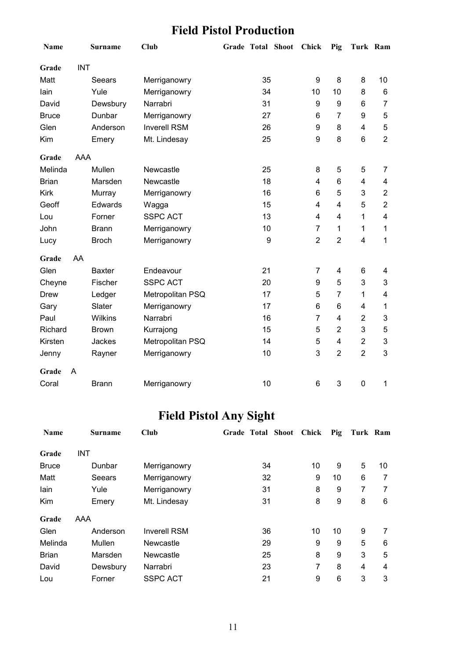### **Field Pistol Production**

| Name         |            | Surname       | <b>Club</b>         | Grade Total Shoot |    | Chick          | Pig                     | Turk Ram                |                |
|--------------|------------|---------------|---------------------|-------------------|----|----------------|-------------------------|-------------------------|----------------|
| Grade        | <b>INT</b> |               |                     |                   |    |                |                         |                         |                |
| Matt         |            | Seears        | Merriganowry        |                   | 35 | 9              | 8                       | 8                       | 10             |
| lain         |            | Yule          | Merriganowry        |                   | 34 | 10             | 10                      | 8                       | 6              |
| David        |            | Dewsbury      | Narrabri            |                   | 31 | 9              | 9                       | 6                       | $\overline{7}$ |
| <b>Bruce</b> |            | Dunbar        | Merriganowry        |                   | 27 | 6              | $\overline{7}$          | 9                       | 5              |
| Glen         |            | Anderson      | <b>Inverell RSM</b> |                   | 26 | 9              | 8                       | $\overline{\mathbf{4}}$ | 5              |
| Kim          |            | Emery         | Mt. Lindesay        |                   | 25 | 9              | 8                       | $6\phantom{1}6$         | $\overline{2}$ |
| Grade        | AAA        |               |                     |                   |    |                |                         |                         |                |
| Melinda      |            | Mullen        | Newcastle           |                   | 25 | 8              | 5                       | 5                       | 7              |
| <b>Brian</b> |            | Marsden       | Newcastle           |                   | 18 | $\overline{4}$ | 6                       | $\overline{\mathbf{4}}$ | 4              |
| <b>Kirk</b>  |            | Murray        | Merriganowry        |                   | 16 | 6              | 5                       | 3                       | $\overline{2}$ |
| Geoff        |            | Edwards       | Wagga               |                   | 15 | 4              | $\overline{4}$          | 5                       | $\overline{2}$ |
| Lou          |            | Forner        | <b>SSPC ACT</b>     |                   | 13 | 4              | 4                       | 1                       | $\overline{4}$ |
| John         |            | <b>Brann</b>  | Merriganowry        |                   | 10 | $\overline{7}$ | $\mathbf{1}$            | 1                       | 1              |
| Lucy         |            | <b>Broch</b>  | Merriganowry        |                   | 9  | $\overline{2}$ | $\overline{2}$          | $\overline{4}$          | 1              |
| Grade        | AA         |               |                     |                   |    |                |                         |                         |                |
| Glen         |            | <b>Baxter</b> | Endeavour           |                   | 21 | $\overline{7}$ | 4                       | 6                       | 4              |
| Cheyne       |            | Fischer       | <b>SSPC ACT</b>     |                   | 20 | 9              | 5                       | 3                       | 3              |
| <b>Drew</b>  |            | Ledger        | Metropolitan PSQ    |                   | 17 | 5              | $\overline{7}$          | 1                       | 4              |
| Gary         |            | Slater        | Merriganowry        |                   | 17 | 6              | 6                       | 4                       | 1              |
| Paul         |            | Wilkins       | Narrabri            |                   | 16 | $\overline{7}$ | 4                       | $\overline{2}$          | 3              |
| Richard      |            | <b>Brown</b>  | Kurrajong           |                   | 15 | 5              | $\overline{2}$          | 3                       | 5              |
| Kirsten      |            | Jackes        | Metropolitan PSQ    |                   | 14 | 5              | $\overline{\mathbf{4}}$ | $\overline{2}$          | 3              |
| Jenny        |            | Rayner        | Merriganowry        |                   | 10 | 3              | $\overline{2}$          | $\overline{2}$          | 3              |
| Grade        | A          |               |                     |                   |    |                |                         |                         |                |
| Coral        |            | <b>Brann</b>  | Merriganowry        |                   | 10 | 6              | 3                       | $\mathbf 0$             | 1              |

# **Field Pistol Any Sight**

| <b>Name</b>  | Surname    | Club                | Grade Total Shoot | <b>Chick</b> | Pig | Turk Ram |    |
|--------------|------------|---------------------|-------------------|--------------|-----|----------|----|
| Grade        | <b>INT</b> |                     |                   |              |     |          |    |
| <b>Bruce</b> | Dunbar     | Merriganowry        | 34                | 10           | 9   | 5        | 10 |
| Matt         | Seears     | Merriganowry        | 32                | 9            | 10  | 6        |    |
| lain         | Yule       | Merriganowry        | 31                | 8            | 9   | 7        | 7  |
| Kim          | Emery      | Mt. Lindesay        | 31                | 8            | 9   | 8        | 6  |
| Grade        | AAA        |                     |                   |              |     |          |    |
| Glen         | Anderson   | <b>Inverell RSM</b> | 36                | 10           | 10  | 9        | 7  |
| Melinda      | Mullen     | Newcastle           | 29                | 9            | 9   | 5        | 6  |
| <b>Brian</b> | Marsden    | Newcastle           | 25                | 8            | 9   | 3        | 5  |
| David        | Dewsbury   | Narrabri            | 23                | 7            | 8   | 4        | 4  |
| Lou          | Forner     | <b>SSPC ACT</b>     | 21                | 9            | 6   | 3        | 3  |